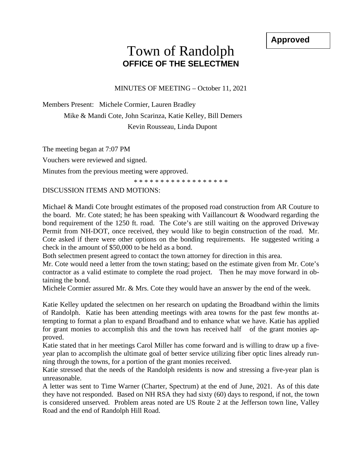**Approved**

## Town of Randolph **OFFICE OF THE SELECTMEN**

MINUTES OF MEETING – October 11, 2021

Members Present: Michele Cormier, Lauren Bradley

Mike & Mandi Cote, John Scarinza, Katie Kelley, Bill Demers Kevin Rousseau, Linda Dupont

The meeting began at 7:07 PM

Vouchers were reviewed and signed.

Minutes from the previous meeting were approved.

\* \* \* \* \* \* \* \* \* \* \* \* \* \* \* \* \*

## DISCUSSION ITEMS AND MOTIONS:

Michael & Mandi Cote brought estimates of the proposed road construction from AR Couture to the board. Mr. Cote stated; he has been speaking with Vaillancourt & Woodward regarding the bond requirement of the 1250 ft. road. The Cote's are still waiting on the approved Driveway Permit from NH-DOT, once received, they would like to begin construction of the road. Mr. Cote asked if there were other options on the bonding requirements. He suggested writing a check in the amount of \$50,000 to be held as a bond.

Both selectmen present agreed to contact the town attorney for direction in this area.

Mr. Cote would need a letter from the town stating; based on the estimate given from Mr. Cote's contractor as a valid estimate to complete the road project. Then he may move forward in obtaining the bond.

Michele Cormier assured Mr. & Mrs. Cote they would have an answer by the end of the week.

Katie Kelley updated the selectmen on her research on updating the Broadband within the limits of Randolph. Katie has been attending meetings with area towns for the past few months attempting to format a plan to expand Broadband and to enhance what we have. Katie has applied for grant monies to accomplish this and the town has received half of the grant monies approved.

Katie stated that in her meetings Carol Miller has come forward and is willing to draw up a fiveyear plan to accomplish the ultimate goal of better service utilizing fiber optic lines already running through the towns, for a portion of the grant monies received.

Katie stressed that the needs of the Randolph residents is now and stressing a five-year plan is unreasonable.

A letter was sent to Time Warner (Charter, Spectrum) at the end of June, 2021. As of this date they have not responded. Based on NH RSA they had sixty (60) days to respond, if not, the town is considered unserved. Problem areas noted are US Route 2 at the Jefferson town line, Valley Road and the end of Randolph Hill Road.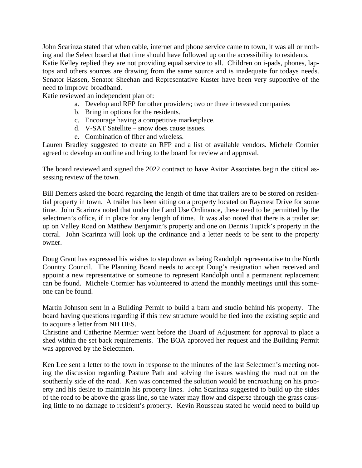John Scarinza stated that when cable, internet and phone service came to town, it was all or nothing and the Select board at that time should have followed up on the accessibility to residents. Katie Kelley replied they are not providing equal service to all. Children on i-pads, phones, laptops and others sources are drawing from the same source and is inadequate for todays needs. Senator Hassen, Senator Sheehan and Representative Kuster have been very supportive of the need to improve broadband.

Katie reviewed an independent plan of:

- a. Develop and RFP for other providers; two or three interested companies
- b. Bring in options for the residents.
- c. Encourage having a competitive marketplace.
- d. V-SAT Satellite snow does cause issues.
- e. Combination of fiber and wireless.

Lauren Bradley suggested to create an RFP and a list of available vendors. Michele Cormier agreed to develop an outline and bring to the board for review and approval.

The board reviewed and signed the 2022 contract to have Avitar Associates begin the citical assessing review of the town.

Bill Demers asked the board regarding the length of time that trailers are to be stored on residential property in town. A trailer has been sitting on a property located on Raycrest Drive for some time. John Scarinza noted that under the Land Use Ordinance, these need to be permitted by the selectmen's office, if in place for any length of time. It was also noted that there is a trailer set up on Valley Road on Matthew Benjamin's property and one on Dennis Tupick's property in the corral. John Scarinza will look up the ordinance and a letter needs to be sent to the property owner.

Doug Grant has expressed his wishes to step down as being Randolph representative to the North Country Council. The Planning Board needs to accept Doug's resignation when received and appoint a new representative or someone to represent Randolph until a permanent replacement can be found. Michele Cormier has volunteered to attend the monthly meetings until this someone can be found.

Martin Johnson sent in a Building Permit to build a barn and studio behind his property. The board having questions regarding if this new structure would be tied into the existing septic and to acquire a letter from NH DES.

Christine and Catherine Mermier went before the Board of Adjustment for approval to place a shed within the set back requirements. The BOA approved her request and the Building Permit was approved by the Selectmen.

Ken Lee sent a letter to the town in response to the minutes of the last Selectmen's meeting noting the discussion regarding Pasture Path and solving the issues washing the road out on the southernly side of the road. Ken was concerned the solution would be encroaching on his property and his desire to maintain his property lines. John Scarinza suggested to build up the sides of the road to be above the grass line, so the water may flow and disperse through the grass causing little to no damage to resident's property. Kevin Rousseau stated he would need to build up